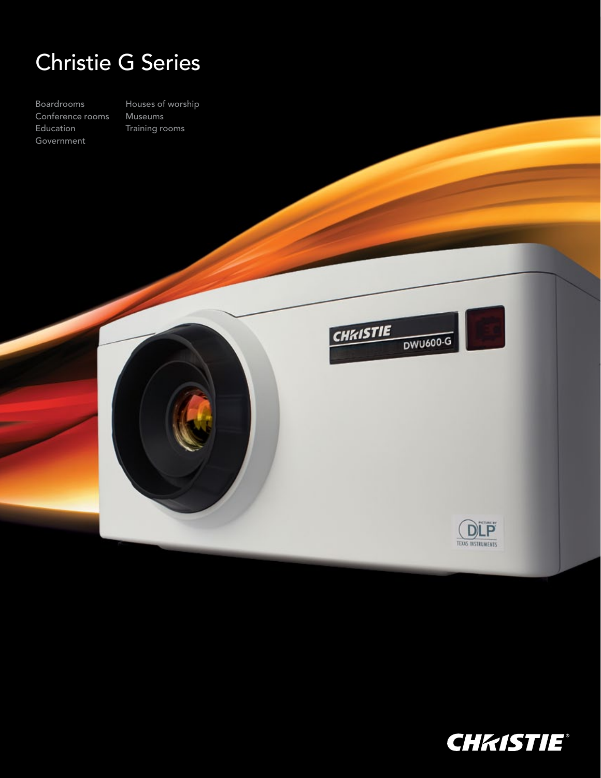## Christie G Series

Boardrooms Conference rooms Education Government

Houses of worship Museums Training rooms





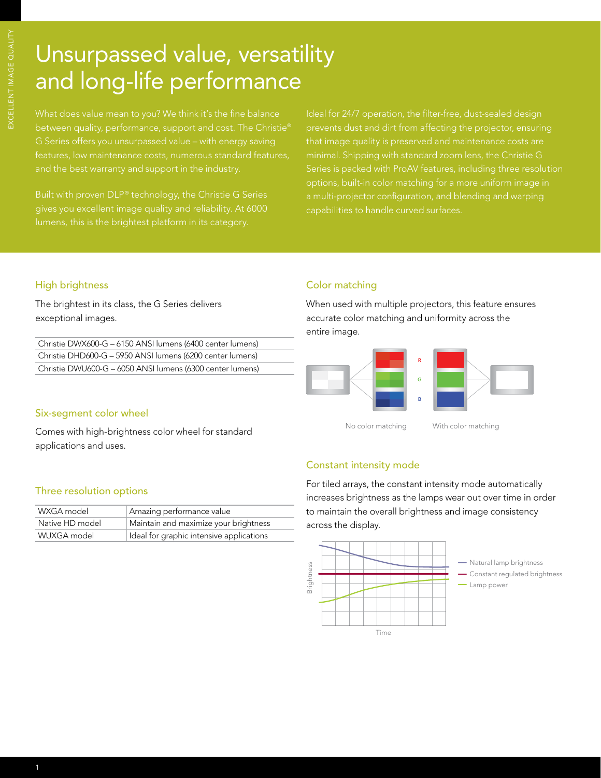# Unsurpassed value, versatility and long-life performance

between quality, performance, support and cost. The Christie® and the best warranty and support in the industry.

gives you excellent image quality and reliability. At 6000

minimal. Shipping with standard zoom lens, the Christie G Series is packed with ProAV features, including three resolution a multi-projector configuration, and blending and warping capabilities to handle curved surfaces.

#### High brightness

The brightest in its class, the G Series delivers exceptional images.

| Christie DWX600-G - 6150 ANSI lumens (6400 center lumens) |  |
|-----------------------------------------------------------|--|
| Christie DHD600-G - 5950 ANSI lumens (6200 center lumens) |  |
| Christie DWU600-G – 6050 ANSI lumens (6300 center lumens) |  |

#### Six-segment color wheel

Comes with high-brightness color wheel for standard applications and uses.

#### Three resolution options

| WXGA model      | Amazing performance value                |
|-----------------|------------------------------------------|
| Native HD model | Maintain and maximize your brightness    |
| WUXGA model     | Ideal for graphic intensive applications |

### Color matching

When used with multiple projectors, this feature ensures accurate color matching and uniformity across the entire image.



### Constant intensity mode

For tiled arrays, the constant intensity mode automatically increases brightness as the lamps wear out over time in order to maintain the overall brightness and image consistency across the display.

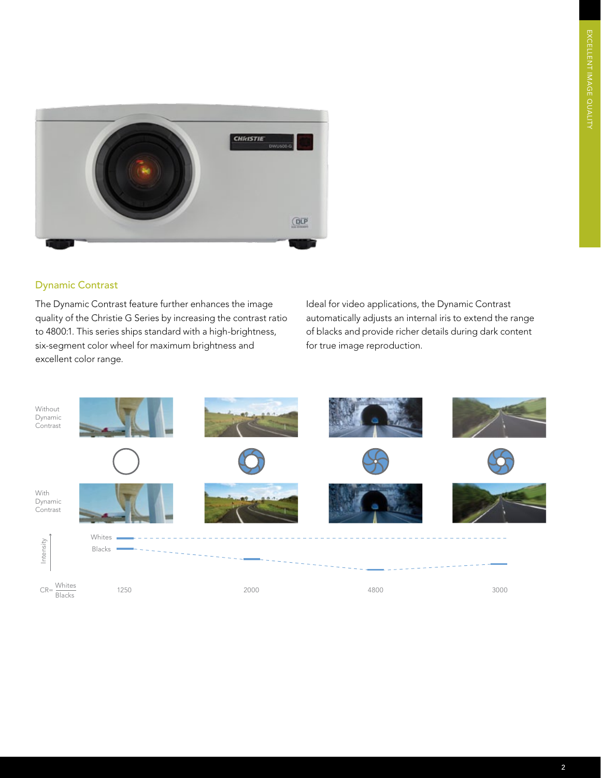

#### Dynamic Contrast

The Dynamic Contrast feature further enhances the image quality of the Christie G Series by increasing the contrast ratio to 4800:1. This series ships standard with a high-brightness, six-segment color wheel for maximum brightness and excellent color range.

Ideal for video applications, the Dynamic Contrast automatically adjusts an internal iris to extend the range of blacks and provide richer details during dark content for true image reproduction.

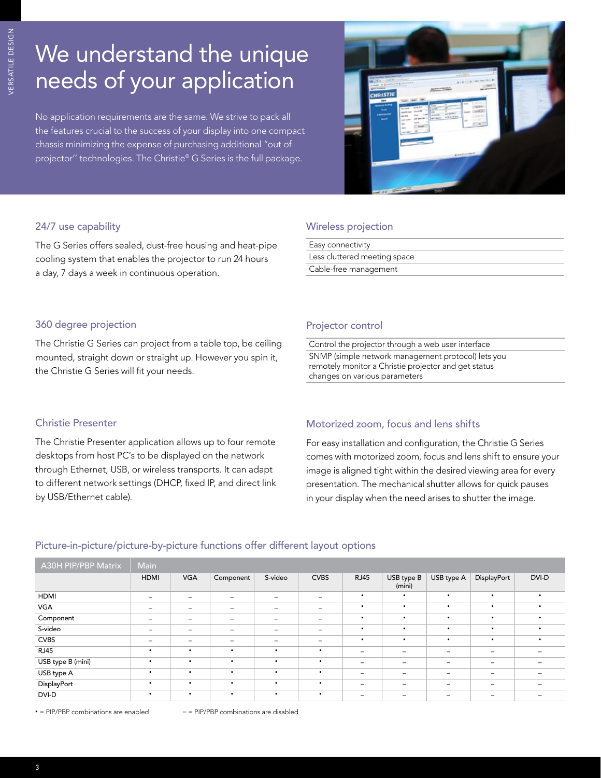# We understand the unique needs of your application

No application requirements are the same. We strive to pack all the features crucial to the success of your display into one compact chassis minimizing the expense of purchasing additional "out of projector'' technologies. The Christie® G Series is the full package.



#### 24/7 use capability

The G Series offers sealed, dust-free housing and heat-pipe cooling system that enables the projector to run 24 hours a day, 7 days a week in continuous operation.

#### Wireless projection

| Easy connectivity            |
|------------------------------|
| Less cluttered meeting space |
| Cable-free management        |

### 360 degree projection

The Christie G Series can project from a table top, be ceiling mounted, straight down or straight up. However you spin it, the Christie G Series will fit your needs.

#### Projector control

Control the projector through a web user interface

SNMP (simple network management protocol) lets you remotely monitor a Christie projector and get status changes on various parameters

#### Christie Presenter

The Christie Presenter application allows up to four remote desktops from host PC's to be displayed on the network through Ethernet, USB, or wireless transports. It can adapt to different network settings (DHCP, fixed IP, and direct link by USB/Ethernet cable).

#### Motorized zoom, focus and lens shifts

For easy installation and configuration, the Christie G Series comes with motorized zoom, focus and lens shift to ensure your image is aligned tight within the desired viewing area for every presentation. The mechanical shutter allows for quick pauses in your display when the need arises to shutter the image.

| A30H PIP/PBP Matrix | Main        |                          |                          |           |                              |                              |                      |                              |                          |                          |
|---------------------|-------------|--------------------------|--------------------------|-----------|------------------------------|------------------------------|----------------------|------------------------------|--------------------------|--------------------------|
|                     | <b>HDMI</b> | <b>VGA</b>               | Component                | S-video   | <b>CVBS</b>                  | <b>RJ45</b>                  | USB type B<br>(mini) | USB type A                   | DisplayPort              | DVI-D                    |
| <b>HDMI</b>         | -           | $\overline{\phantom{0}}$ |                          |           | $\qquad \qquad \blacksquare$ | $\bullet$                    | $\bullet$            | $\bullet$                    | $\bullet$                | $\bullet$                |
| <b>VGA</b>          | -           | $\overline{\phantom{0}}$ | $\overline{\phantom{0}}$ |           | $\qquad \qquad =$            | $\bullet$                    | $\bullet$            | $\bullet$                    | $\bullet$                | $\bullet$                |
| Component           |             | $\overline{\phantom{0}}$ | $\overline{\phantom{0}}$ |           | $\qquad \qquad$              | $\bullet$                    | $\bullet$            | $\bullet$                    | $\bullet$                | $\bullet$                |
| S-video             |             | $\overline{\phantom{0}}$ | $\overline{\phantom{0}}$ |           |                              | $\bullet$                    | $\bullet$            | $\bullet$                    | $\bullet$                | $\bullet$                |
| <b>CVBS</b>         |             | -                        | $\overline{\phantom{0}}$ |           |                              | $\bullet$                    | $\bullet$            | $\bullet$                    | $\bullet$                | $\bullet$                |
| <b>RJ45</b>         | ٠           | $\bullet$                | $\bullet$                | $\bullet$ | $\bullet$                    | $\overline{\phantom{m}}$     |                      | $\qquad \qquad \blacksquare$ | $\overline{\phantom{a}}$ |                          |
| USB type B (mini)   | ٠           | $\bullet$                | $\bullet$                | $\bullet$ | $\bullet$                    | $\overline{\phantom{m}}$     | -                    | $\overline{\phantom{m}}$     | $\overline{\phantom{a}}$ | $\overline{\phantom{0}}$ |
| USB type A          | ٠           | $\bullet$                | $\bullet$                | $\bullet$ | $\bullet$                    | $\qquad \qquad \blacksquare$ | -                    | $\overline{\phantom{m}}$     | $\overline{\phantom{0}}$ | $\overline{\phantom{0}}$ |
| DisplayPort         | $\bullet$   | $\bullet$                | $\bullet$                | $\bullet$ | $\bullet$                    | $\qquad \qquad \blacksquare$ |                      | $\overline{\phantom{0}}$     | $\overline{\phantom{0}}$ | $\overline{\phantom{0}}$ |
| DVI-D               | $\bullet$   | $\bullet$                | $\bullet$                | $\bullet$ | $\bullet$                    |                              |                      |                              |                          |                          |

#### Picture-in-picture/picture-by-picture functions offer different layout options

• = PIP/PBP combinations are enabled  $-$  = PIP/PBP combinations are disabled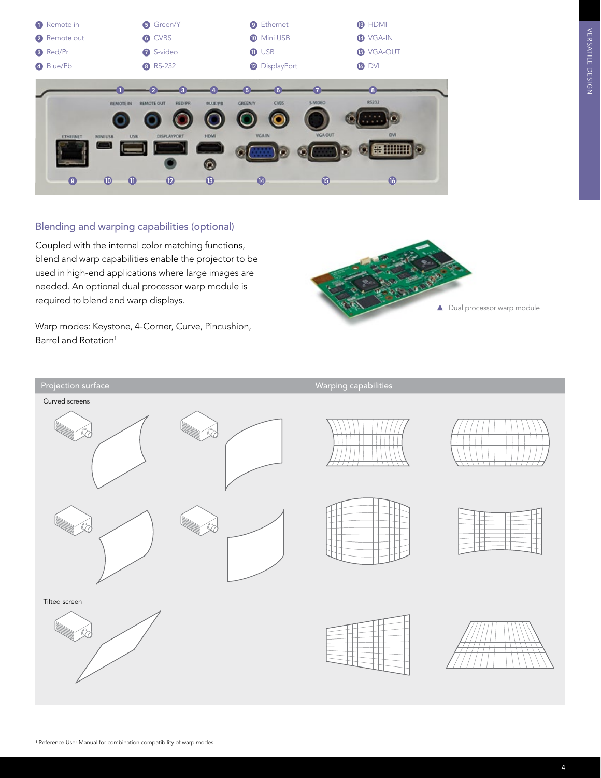| Remote in       |                       | <b>6</b> Green/Y            |                | <b>9</b> Ethernet             |                | <b>B</b> HDMI    |  |
|-----------------|-----------------------|-----------------------------|----------------|-------------------------------|----------------|------------------|--|
| 2 Remote out    |                       | 6 CVBS                      |                | <b>Mini USB</b>               |                | <b>4</b> VGA-IN  |  |
| <b>3</b> Red/Pr |                       | S-video                     |                | <b>O</b> USB                  |                | <b>B</b> VGA-OUT |  |
| 4 Blue/Pb       |                       | 8 RS-232                    |                | <sup>2</sup> DisplayPort      |                | <b>6</b> DVI     |  |
|                 |                       | $\overline{\mathbf{3}}$     |                | 5<br>6                        |                | $\boxed{8}$      |  |
|                 | REMOTE IN             | <b>RED/PR</b><br>REMOTE OUT | <b>BLUE/PB</b> | <b>CVBS</b><br><b>GREENLY</b> | <b>S-VIDEO</b> | RS232            |  |
|                 |                       |                             |                |                               |                |                  |  |
| <b>ETHERNET</b> | USB<br>MINI USB       | DISPLAYPORT                 | HDMI           | VGA IN                        | <b>VGA OUT</b> | <b>DVI</b>       |  |
|                 |                       |                             |                |                               |                | 86 HHH           |  |
|                 |                       |                             | Θ              |                               |                |                  |  |
| $\bullet$       | $\bullet$<br>$\bf{0}$ | $\mathbf{D}$                | $\circledR$    | $\boldsymbol{\Phi}$           | $\mathbf G$    | $\mathbf{G}$     |  |
|                 |                       |                             |                |                               |                |                  |  |

### Blending and warping capabilities (optional)

Coupled with the internal color matching functions, blend and warp capabilities enable the projector to be used in high-end applications where large images are needed. An optional dual processor warp module is required to blend and warp displays.

Warp modes: Keystone, 4-Corner, Curve, Pincushion, Barrel and Rotation<sup>1</sup>



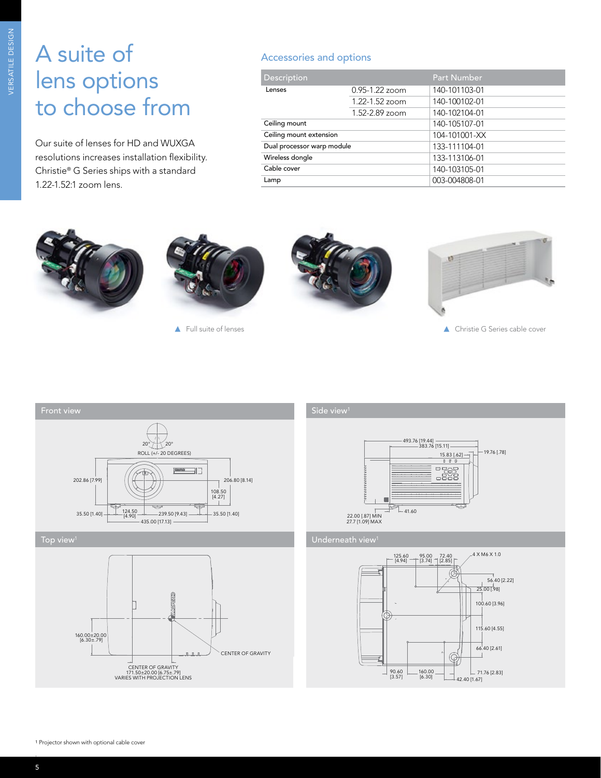## A suite of lens options to choose from

Our suite of lenses for HD and WUXGA resolutions increases installation flexibility. Christie® G Series ships with a standard 1.22-1.52:1 zoom lens.

### Accessories and options

| Description                |                    | <b>Part Number</b> |  |  |
|----------------------------|--------------------|--------------------|--|--|
| Lenses                     | $0.95 - 1.22$ zoom | 140-101103-01      |  |  |
|                            | $1.22 - 1.52$ zoom | 140-100102-01      |  |  |
|                            | $1.52 - 2.89$ zoom | 140-102104-01      |  |  |
| Ceiling mount              |                    | 140-105107-01      |  |  |
| Ceiling mount extension    |                    | 104-101001-XX      |  |  |
| Dual processor warp module |                    | 133-111104-01      |  |  |
| Wireless dongle            |                    | 133-113106-01      |  |  |
| Cable cover                |                    | 140-103105-01      |  |  |
| Lamp                       |                    | 003-004808-01      |  |  |





Full suite of lenses





▲ Christie G Series cable cover





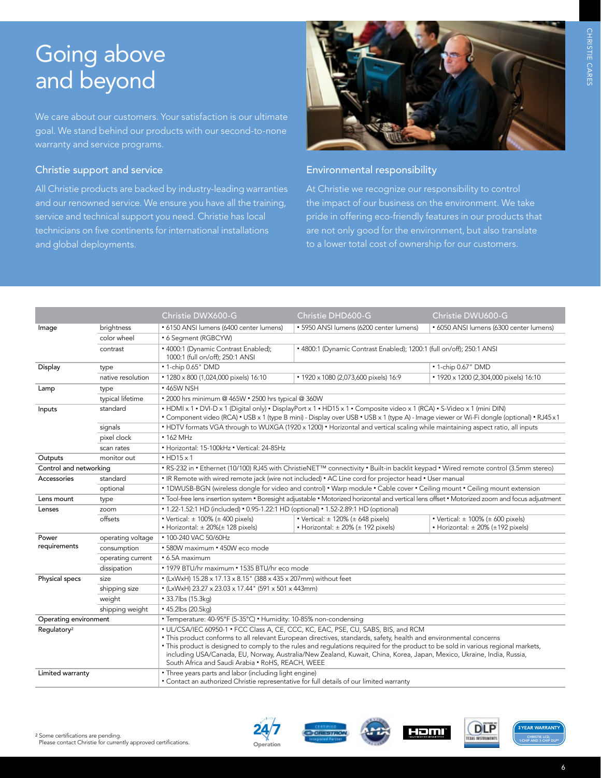## Going above and beyond

We care about our customers. Your satisfaction is our ultimate goal. We stand behind our products with our second-to-none warranty and service programs.

#### Christie support and service

All Christie products are backed by industry-leading warranties and our renowned service. We ensure you have all the training, service and technical support you need. Christie has local technicians on five continents for international installations and global deployments.



#### Environmental responsibility

At Christie we recognize our responsibility to control the impact of our business on the environment. We take pride in offering eco-friendly features in our products that are not only good for the environment, but also translate

|                                                                                                                                                                                                                                                                                                                                                                                                                                                                                                                                                       |                   | Christie DWX600-G                                                                                                                                                                                                                                                     | Christie DHD600-G                                                                                                                              | Christie DWU600-G                                                                         |  |  |  |  |  |
|-------------------------------------------------------------------------------------------------------------------------------------------------------------------------------------------------------------------------------------------------------------------------------------------------------------------------------------------------------------------------------------------------------------------------------------------------------------------------------------------------------------------------------------------------------|-------------------|-----------------------------------------------------------------------------------------------------------------------------------------------------------------------------------------------------------------------------------------------------------------------|------------------------------------------------------------------------------------------------------------------------------------------------|-------------------------------------------------------------------------------------------|--|--|--|--|--|
| Image                                                                                                                                                                                                                                                                                                                                                                                                                                                                                                                                                 | brightness        | • 6150 ANSI lumens (6400 center lumens)                                                                                                                                                                                                                               | · 5950 ANSI lumens (6200 center lumens)                                                                                                        | • 6050 ANSI lumens (6300 center lumens)                                                   |  |  |  |  |  |
|                                                                                                                                                                                                                                                                                                                                                                                                                                                                                                                                                       | color wheel       | • 6 Segment (RGBCYW)                                                                                                                                                                                                                                                  |                                                                                                                                                |                                                                                           |  |  |  |  |  |
|                                                                                                                                                                                                                                                                                                                                                                                                                                                                                                                                                       | contrast          | • 4000:1 (Dynamic Contrast Enabled);<br>1000:1 (full on/off); 250:1 ANSI                                                                                                                                                                                              | • 4800:1 (Dynamic Contrast Enabled); 1200:1 (full on/off); 250:1 ANSI                                                                          |                                                                                           |  |  |  |  |  |
| Display                                                                                                                                                                                                                                                                                                                                                                                                                                                                                                                                               | type              | • 1-chip 0.65" DMD                                                                                                                                                                                                                                                    | • 1-chip 0.67" DMD                                                                                                                             |                                                                                           |  |  |  |  |  |
|                                                                                                                                                                                                                                                                                                                                                                                                                                                                                                                                                       | native resolution | • 1280 x 800 (1,024,000 pixels) 16:10                                                                                                                                                                                                                                 | • 1920 x 1080 (2,073,600 pixels) 16:9                                                                                                          | • 1920 x 1200 (2,304,000 pixels) 16:10                                                    |  |  |  |  |  |
| Lamp                                                                                                                                                                                                                                                                                                                                                                                                                                                                                                                                                  | type              | • 465W NSH                                                                                                                                                                                                                                                            |                                                                                                                                                |                                                                                           |  |  |  |  |  |
|                                                                                                                                                                                                                                                                                                                                                                                                                                                                                                                                                       | typical lifetime  | . 2000 hrs minimum @ 465W . 2500 hrs typical @ 360W                                                                                                                                                                                                                   |                                                                                                                                                |                                                                                           |  |  |  |  |  |
| Inputs                                                                                                                                                                                                                                                                                                                                                                                                                                                                                                                                                | standard          | • HDMI x 1 • DVI-D x 1 (Digital only) • DisplayPort x 1 • HD15 x 1 • Composite video x 1 (RCA) • S-Video x 1 (mini DIN)<br>• Component video (RCA) • USB x 1 (type B mini) - Display over USB • USB x 1 (type A) - Image viewer or Wi-Fi dongle (optional) • RJ45 x 1 |                                                                                                                                                |                                                                                           |  |  |  |  |  |
|                                                                                                                                                                                                                                                                                                                                                                                                                                                                                                                                                       | signals           |                                                                                                                                                                                                                                                                       | • HDTV formats VGA through to WUXGA (1920 x 1200) • Horizontal and vertical scaling while maintaining aspect ratio, all inputs                 |                                                                                           |  |  |  |  |  |
|                                                                                                                                                                                                                                                                                                                                                                                                                                                                                                                                                       | pixel clock       | $\cdot$ 162 MHz                                                                                                                                                                                                                                                       |                                                                                                                                                |                                                                                           |  |  |  |  |  |
|                                                                                                                                                                                                                                                                                                                                                                                                                                                                                                                                                       | scan rates        | • Horizontal: 15-100kHz • Vertical: 24-85Hz                                                                                                                                                                                                                           |                                                                                                                                                |                                                                                           |  |  |  |  |  |
| Outputs                                                                                                                                                                                                                                                                                                                                                                                                                                                                                                                                               | monitor out       | $\cdot$ HD15 $\times$ 1                                                                                                                                                                                                                                               |                                                                                                                                                |                                                                                           |  |  |  |  |  |
| Control and networking                                                                                                                                                                                                                                                                                                                                                                                                                                                                                                                                |                   | • RS-232 in • Ethernet (10/100) RJ45 with ChristieNET <sup>TM</sup> connectivity • Built-in backlit keypad • Wired remote control (3.5mm stereo)                                                                                                                      |                                                                                                                                                |                                                                                           |  |  |  |  |  |
| Accessories                                                                                                                                                                                                                                                                                                                                                                                                                                                                                                                                           | standard          |                                                                                                                                                                                                                                                                       | • IR Remote with wired remote jack (wire not included) • AC Line cord for projector head • User manual                                         |                                                                                           |  |  |  |  |  |
|                                                                                                                                                                                                                                                                                                                                                                                                                                                                                                                                                       | optional          | . 1DWUSB-BGN (wireless dongle for video and control) . Warp module . Cable cover . Ceiling mount . Ceiling mount extension                                                                                                                                            |                                                                                                                                                |                                                                                           |  |  |  |  |  |
| Lens mount                                                                                                                                                                                                                                                                                                                                                                                                                                                                                                                                            | type              |                                                                                                                                                                                                                                                                       | . Tool-free lens insertion system . Boresight adjustable . Motorized horizontal and vertical lens offset . Motorized zoom and focus adjustment |                                                                                           |  |  |  |  |  |
| Lenses                                                                                                                                                                                                                                                                                                                                                                                                                                                                                                                                                | zoom              | • 1.22-1.52:1 HD (included) • 0.95-1.22:1 HD (optional) • 1.52-2.89:1 HD (optional)                                                                                                                                                                                   |                                                                                                                                                |                                                                                           |  |  |  |  |  |
|                                                                                                                                                                                                                                                                                                                                                                                                                                                                                                                                                       | offsets           | • Vertical: $\pm$ 100% ( $\pm$ 400 pixels)<br>• Horizontal: $\pm 20\% (\pm 128 \text{ pixels})$                                                                                                                                                                       | • Vertical: $\pm$ 120% ( $\pm$ 648 pixels)<br>• Horizontal: $\pm$ 20% ( $\pm$ 192 pixels)                                                      | • Vertical: $\pm$ 100% ( $\pm$ 600 pixels)<br>• Horizontal: $\pm$ 20% ( $\pm$ 192 pixels) |  |  |  |  |  |
| Power                                                                                                                                                                                                                                                                                                                                                                                                                                                                                                                                                 | operating voltage | • 100-240 VAC 50/60Hz                                                                                                                                                                                                                                                 |                                                                                                                                                |                                                                                           |  |  |  |  |  |
| requirements                                                                                                                                                                                                                                                                                                                                                                                                                                                                                                                                          | consumption       | • 580W maximum • 450W eco mode                                                                                                                                                                                                                                        |                                                                                                                                                |                                                                                           |  |  |  |  |  |
|                                                                                                                                                                                                                                                                                                                                                                                                                                                                                                                                                       | operating current | • 6.5A maximum                                                                                                                                                                                                                                                        |                                                                                                                                                |                                                                                           |  |  |  |  |  |
|                                                                                                                                                                                                                                                                                                                                                                                                                                                                                                                                                       | dissipation       | • 1979 BTU/hr maximum • 1535 BTU/hr eco mode                                                                                                                                                                                                                          |                                                                                                                                                |                                                                                           |  |  |  |  |  |
| Physical specs                                                                                                                                                                                                                                                                                                                                                                                                                                                                                                                                        | size              | • (LxWxH) 15.28 x 17.13 x 8.15" (388 x 435 x 207mm) without feet                                                                                                                                                                                                      |                                                                                                                                                |                                                                                           |  |  |  |  |  |
|                                                                                                                                                                                                                                                                                                                                                                                                                                                                                                                                                       | shipping size     | • (LxWxH) 23.27 x 23.03 x 17.44" (591 x 501 x 443mm)                                                                                                                                                                                                                  |                                                                                                                                                |                                                                                           |  |  |  |  |  |
|                                                                                                                                                                                                                                                                                                                                                                                                                                                                                                                                                       | weight            | • 33.7lbs (15.3kg)                                                                                                                                                                                                                                                    |                                                                                                                                                |                                                                                           |  |  |  |  |  |
|                                                                                                                                                                                                                                                                                                                                                                                                                                                                                                                                                       | shipping weight   | • 45.2lbs (20.5kg)                                                                                                                                                                                                                                                    |                                                                                                                                                |                                                                                           |  |  |  |  |  |
| • Temperature: 40-95°F (5-35°C) • Humidity: 10-85% non-condensing<br>Operating environment                                                                                                                                                                                                                                                                                                                                                                                                                                                            |                   |                                                                                                                                                                                                                                                                       |                                                                                                                                                |                                                                                           |  |  |  |  |  |
| • UL/CSA/IEC 60950-1 • FCC Class A, CE, CCC, KC, EAC, PSE, CU, SABS, BIS, and RCM<br>Regulatory <sup>2</sup><br>. This product conforms to all relevant European directives, standards, safety, health and environmental concerns<br>. This product is designed to comply to the rules and regulations required for the product to be sold in various regional markets,<br>including USA/Canada, EU, Norway, Australia/New Zealand, Kuwait, China, Korea, Japan, Mexico, Ukraine, India, Russia,<br>South Africa and Saudi Arabia . RoHS, REACH, WEEE |                   |                                                                                                                                                                                                                                                                       |                                                                                                                                                |                                                                                           |  |  |  |  |  |
| Limited warranty                                                                                                                                                                                                                                                                                                                                                                                                                                                                                                                                      |                   | • Three years parts and labor (including light engine)<br>• Contact an authorized Christie representative for full details of our limited warranty                                                                                                                    |                                                                                                                                                |                                                                                           |  |  |  |  |  |





Reliability